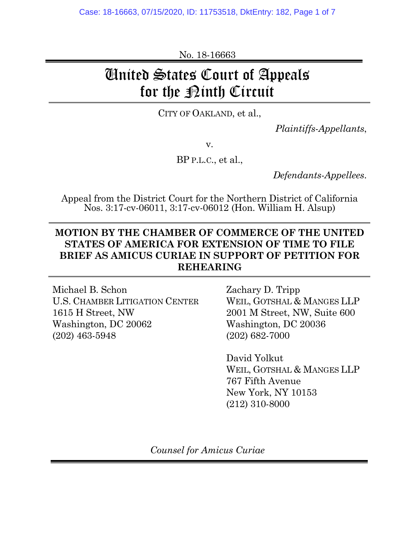No. 18-16663

## United States Court of Appeals for the <u>Pinth Circuit</u>

CITY OF OAKLAND, et al.,

*Plaintiffs-Appellants*,

v.

BP P.L.C., et al.,

*Defendants-Appellees*.

Appeal from the District Court for the Northern District of California Nos. 3:17-cv-06011, 3:17-cv-06012 (Hon. William H. Alsup)

## **MOTION BY THE CHAMBER OF COMMERCE OF THE UNITED STATES OF AMERICA FOR EXTENSION OF TIME TO FILE BRIEF AS AMICUS CURIAE IN SUPPORT OF PETITION FOR REHEARING**

Michael B. Schon Zachary D. Tripp U.S. CHAMBER LITIGATION CENTER WEIL, GOTSHAL & MANGES LLP 1615 H Street, NW 2001 M Street, NW, Suite 600 Washington, DC 20062 Washington, DC 20036 (202) 463-5948 (202) 682-7000

 David Yolkut WEIL, GOTSHAL & MANGES LLP 767 Fifth Avenue New York, NY 10153 (212) 310-8000

*Counsel for Amicus Curiae*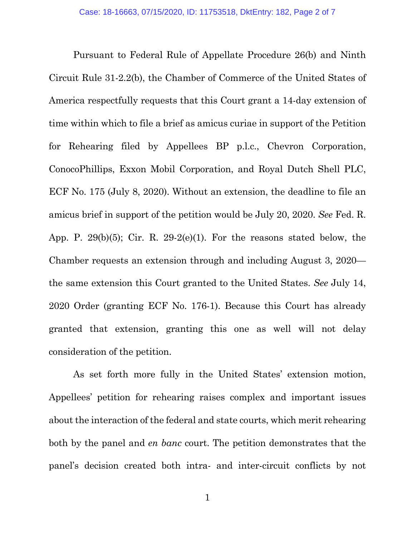Pursuant to Federal Rule of Appellate Procedure 26(b) and Ninth Circuit Rule 31-2.2(b), the Chamber of Commerce of the United States of America respectfully requests that this Court grant a 14-day extension of time within which to file a brief as amicus curiae in support of the Petition for Rehearing filed by Appellees BP p.l.c., Chevron Corporation, ConocoPhillips, Exxon Mobil Corporation, and Royal Dutch Shell PLC, ECF No. 175 (July 8, 2020). Without an extension, the deadline to file an amicus brief in support of the petition would be July 20, 2020. *See* Fed. R. App. P. 29 $(b)(5)$ ; Cir. R. 29-2 $(e)(1)$ . For the reasons stated below, the Chamber requests an extension through and including August 3, 2020 the same extension this Court granted to the United States. *See* July 14, 2020 Order (granting ECF No. 176-1). Because this Court has already granted that extension, granting this one as well will not delay consideration of the petition.

As set forth more fully in the United States' extension motion, Appellees' petition for rehearing raises complex and important issues about the interaction of the federal and state courts, which merit rehearing both by the panel and *en banc* court. The petition demonstrates that the panel's decision created both intra- and inter-circuit conflicts by not

1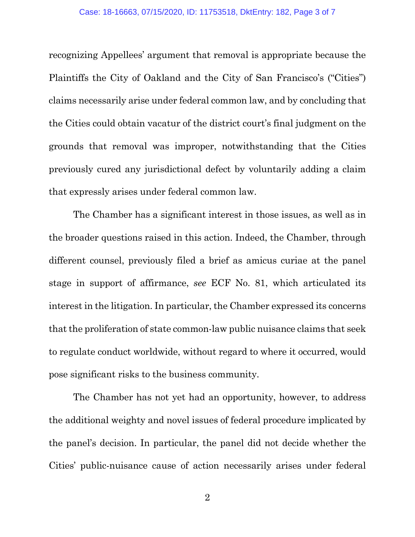recognizing Appellees' argument that removal is appropriate because the Plaintiffs the City of Oakland and the City of San Francisco's ("Cities") claims necessarily arise under federal common law, and by concluding that the Cities could obtain vacatur of the district court's final judgment on the grounds that removal was improper, notwithstanding that the Cities previously cured any jurisdictional defect by voluntarily adding a claim that expressly arises under federal common law.

The Chamber has a significant interest in those issues, as well as in the broader questions raised in this action. Indeed, the Chamber, through different counsel, previously filed a brief as amicus curiae at the panel stage in support of affirmance, *see* ECF No. 81, which articulated its interest in the litigation. In particular, the Chamber expressed its concerns that the proliferation of state common-law public nuisance claims that seek to regulate conduct worldwide, without regard to where it occurred, would pose significant risks to the business community.

The Chamber has not yet had an opportunity, however, to address the additional weighty and novel issues of federal procedure implicated by the panel's decision. In particular, the panel did not decide whether the Cities' public-nuisance cause of action necessarily arises under federal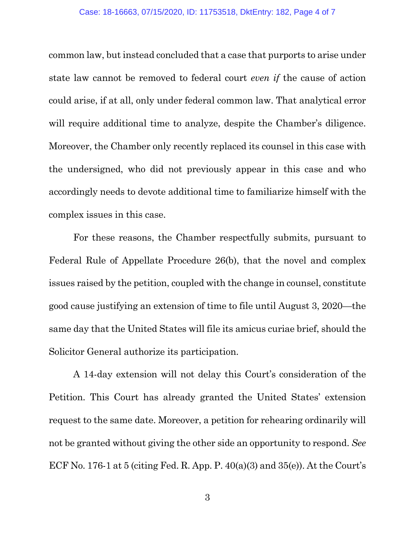common law, but instead concluded that a case that purports to arise under state law cannot be removed to federal court *even if* the cause of action could arise, if at all, only under federal common law. That analytical error will require additional time to analyze, despite the Chamber's diligence. Moreover, the Chamber only recently replaced its counsel in this case with the undersigned, who did not previously appear in this case and who accordingly needs to devote additional time to familiarize himself with the complex issues in this case.

For these reasons, the Chamber respectfully submits, pursuant to Federal Rule of Appellate Procedure 26(b), that the novel and complex issues raised by the petition, coupled with the change in counsel, constitute good cause justifying an extension of time to file until August 3, 2020—the same day that the United States will file its amicus curiae brief, should the Solicitor General authorize its participation.

A 14-day extension will not delay this Court's consideration of the Petition. This Court has already granted the United States' extension request to the same date. Moreover, a petition for rehearing ordinarily will not be granted without giving the other side an opportunity to respond. *See*  ECF No. 176-1 at 5 (citing Fed. R. App. P.  $40(a)(3)$  and  $35(e)$ ). At the Court's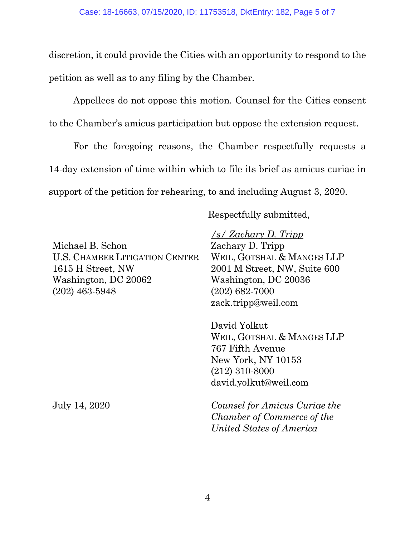discretion, it could provide the Cities with an opportunity to respond to the petition as well as to any filing by the Chamber.

Appellees do not oppose this motion. Counsel for the Cities consent to the Chamber's amicus participation but oppose the extension request.

For the foregoing reasons, the Chamber respectfully requests a 14-day extension of time within which to file its brief as amicus curiae in support of the petition for rehearing, to and including August 3, 2020.

Respectfully submitted,

Michael B. Schon U.S. CHAMBER LITIGATION CENTER 1615 H Street, NW Washington, DC 20062 (202) 463-5948

*/s/ Zachary D. Tripp* Zachary D. Tripp WEIL, GOTSHAL & MANGES LLP 2001 M Street, NW, Suite 600 Washington, DC 20036 (202) 682-7000 zack.tripp@weil.com

David Yolkut WEIL, GOTSHAL & MANGES LLP 767 Fifth Avenue New York, NY 10153 (212) 310-8000 david.yolkut@weil.com

July 14, 2020 *Counsel for Amicus Curiae the Chamber of Commerce of the United States of America*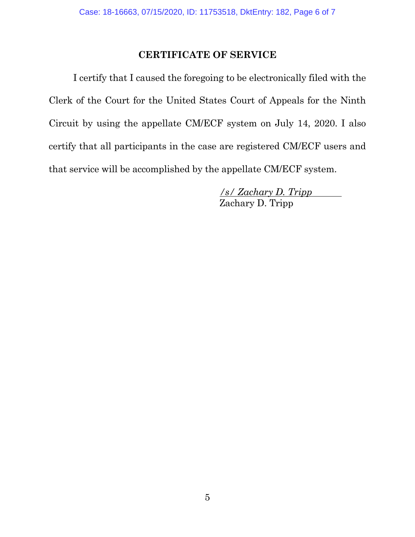## **CERTIFICATE OF SERVICE**

I certify that I caused the foregoing to be electronically filed with the Clerk of the Court for the United States Court of Appeals for the Ninth Circuit by using the appellate CM/ECF system on July 14, 2020. I also certify that all participants in the case are registered CM/ECF users and that service will be accomplished by the appellate CM/ECF system.

> */s/ Zachary D. Tripp*  Zachary D. Tripp